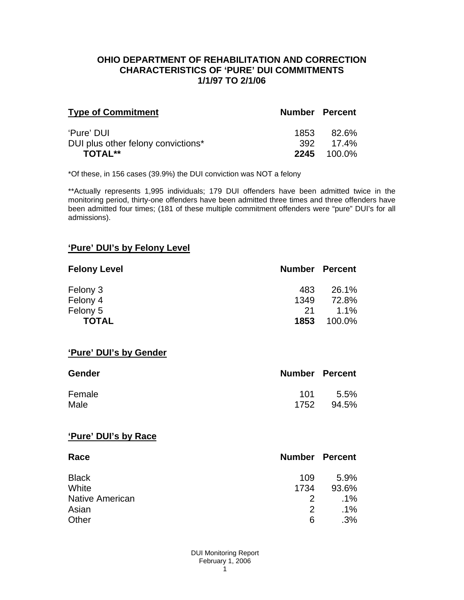#### **OHIO DEPARTMENT OF REHABILITATION AND CORRECTION CHARACTERISTICS OF 'PURE' DUI COMMITMENTS 1/1/97 TO 2/1/06**

| <b>Type of Commitment</b>          | <b>Number Percent</b> |                    |
|------------------------------------|-----------------------|--------------------|
| 'Pure' DUI                         |                       | 1853 82.6%         |
| DUI plus other felony convictions* |                       | 392 17.4%          |
| TOTAL**                            |                       | <b>2245</b> 100.0% |

\*Of these, in 156 cases (39.9%) the DUI conviction was NOT a felony

\*\*Actually represents 1,995 individuals; 179 DUI offenders have been admitted twice in the monitoring period, thirty-one offenders have been admitted three times and three offenders have been admitted four times; (181 of these multiple commitment offenders were "pure" DUI's for all admissions).

## **'Pure' DUI's by Felony Level**

| <b>Felony Level</b> | <b>Number Percent</b> |         |
|---------------------|-----------------------|---------|
| Felony 3            | 483                   | 26.1%   |
| Felony 4            | 1349                  | 72.8%   |
| Felony 5            | -21                   | $1.1\%$ |
| <b>TOTAL</b>        | 1853                  | 100.0%  |

#### **'Pure' DUI's by Gender**

| Gender | <b>Number Percent</b> |       |
|--------|-----------------------|-------|
| Female | 101                   | 5.5%  |
| Male   | 1752                  | 94.5% |

#### **'Pure' DUI's by Race**

| Race                   | <b>Number Percent</b> |        |
|------------------------|-----------------------|--------|
| <b>Black</b>           | 109                   | 5.9%   |
| White                  | 1734                  | 93.6%  |
| <b>Native American</b> | $\mathcal{P}$         | $.1\%$ |
| Asian                  | $\mathcal{P}$         | $.1\%$ |
| Other                  | 6                     | .3%    |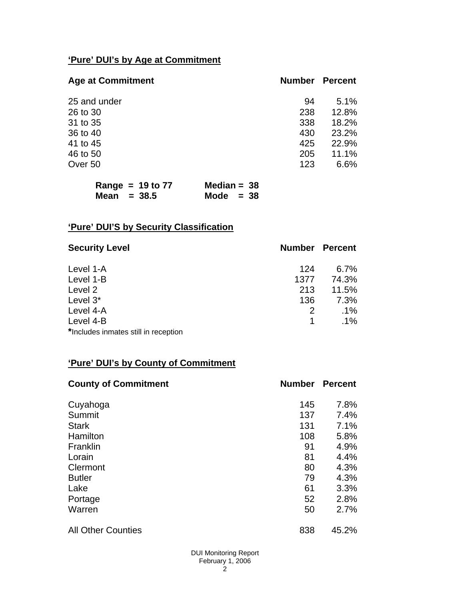# **'Pure' DUI's by Age at Commitment**

| <b>Age at Commitment</b> | <b>Number</b> | <b>Percent</b> |
|--------------------------|---------------|----------------|
| 25 and under             | 94            | 5.1%           |
| 26 to 30                 | 238           | 12.8%          |
| 31 to 35                 | 338           | 18.2%          |
| 36 to 40                 | 430           | 23.2%          |
| 41 to 45                 | 425           | 22.9%          |
| 46 to 50                 | 205           | 11.1%          |
| Over 50                  | 123           | 6.6%           |

| Range = $19$ to $77$ | Median = $38$ |
|----------------------|---------------|
| Mean $= 38.5$        | Mode $= 38$   |

# **'Pure' DUI'S by Security Classification**

| <b>Security Level</b>                | <b>Number Percent</b> |         |
|--------------------------------------|-----------------------|---------|
| Level 1-A                            | 124                   | $6.7\%$ |
| Level 1-B                            | 1377                  | 74.3%   |
| Level 2                              | 213                   | 11.5%   |
| Level 3*                             | 136                   | 7.3%    |
| Level 4-A                            | 2                     | $.1\%$  |
| Level 4-B                            |                       | $.1\%$  |
| *Includes inmates still in reception |                       |         |

## **'Pure' DUI's by County of Commitment**

| <b>County of Commitment</b> | <b>Number</b> | <b>Percent</b> |
|-----------------------------|---------------|----------------|
| Cuyahoga                    | 145           | 7.8%           |
| Summit                      | 137           | 7.4%           |
| <b>Stark</b>                | 131           | 7.1%           |
| Hamilton                    | 108           | 5.8%           |
| Franklin                    | 91            | 4.9%           |
| Lorain                      | 81            | 4.4%           |
| Clermont                    | 80            | 4.3%           |
| <b>Butler</b>               | 79            | 4.3%           |
| Lake                        | 61            | 3.3%           |
| Portage                     | 52            | 2.8%           |
| Warren                      | 50            | 2.7%           |
| <b>All Other Counties</b>   | 838           | 45.2%          |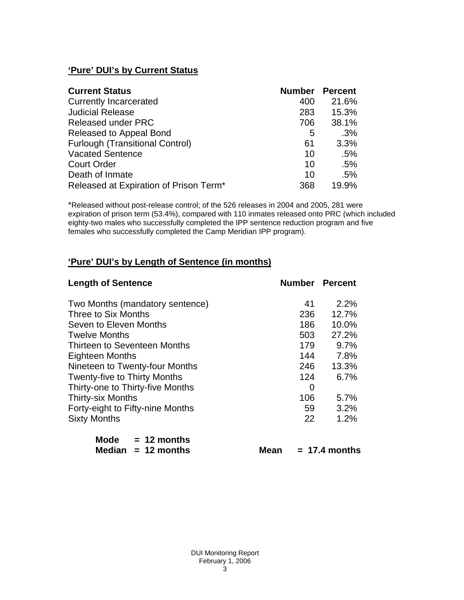# **'Pure' DUI's by Current Status**

| <b>Current Status</b>                  | <b>Number Percent</b> |        |
|----------------------------------------|-----------------------|--------|
| <b>Currently Incarcerated</b>          | 400                   | 21.6%  |
| <b>Judicial Release</b>                | 283                   | 15.3%  |
| <b>Released under PRC</b>              | 706                   | 38.1%  |
| Released to Appeal Bond                | 5                     | .3%    |
| <b>Furlough (Transitional Control)</b> | 61                    | 3.3%   |
| <b>Vacated Sentence</b>                | 10                    | $.5\%$ |
| <b>Court Order</b>                     | 10                    | .5%    |
| Death of Inmate                        | 10                    | .5%    |
| Released at Expiration of Prison Term* | 368                   | 19.9%  |

\*Released without post-release control; of the 526 releases in 2004 and 2005, 281 were expiration of prison term (53.4%), compared with 110 inmates released onto PRC (which included eighty-two males who successfully completed the IPP sentence reduction program and five females who successfully completed the Camp Meridian IPP program).

### **'Pure' DUI's by Length of Sentence (in months)**

| <b>Length of Sentence</b>           |     | <b>Number Percent</b> |
|-------------------------------------|-----|-----------------------|
| Two Months (mandatory sentence)     | 41  | $2.2\%$               |
| Three to Six Months                 | 236 | 12.7%                 |
| Seven to Eleven Months              | 186 | 10.0%                 |
| <b>Twelve Months</b>                | 503 | 27.2%                 |
| Thirteen to Seventeen Months        | 179 | 9.7%                  |
| <b>Eighteen Months</b>              | 144 | 7.8%                  |
| Nineteen to Twenty-four Months      | 246 | 13.3%                 |
| <b>Twenty-five to Thirty Months</b> | 124 | 6.7%                  |
| Thirty-one to Thirty-five Months    | 0   |                       |
| <b>Thirty-six Months</b>            | 106 | 5.7%                  |
| Forty-eight to Fifty-nine Months    | 59  | 3.2%                  |
| <b>Sixty Months</b>                 | 22  | 1.2%                  |
| Mode<br>$= 12$ months               |     |                       |

| Median $= 12$ months | <b>Mean</b> | $= 17.4$ months |
|----------------------|-------------|-----------------|
|                      |             |                 |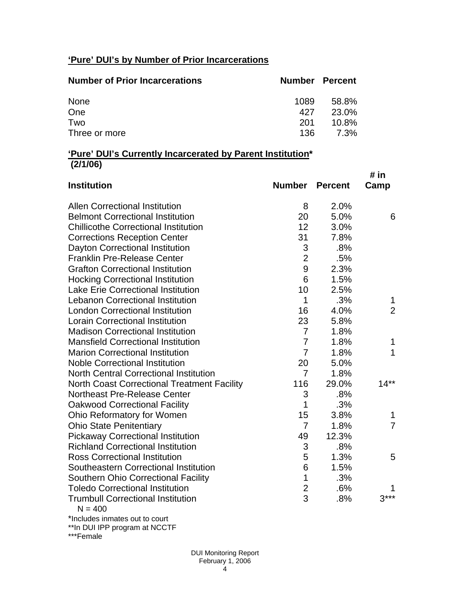# **'Pure' DUI's by Number of Prior Incarcerations**

| <b>Number of Prior Incarcerations</b> | Number Percent |          |
|---------------------------------------|----------------|----------|
| None                                  | 1089           | 58.8%    |
| One                                   | 427            | 23.0%    |
| Two                                   | 201            | $10.8\%$ |
| Three or more                         | 136.           | 7.3%     |

### **'Pure' DUI's Currently Incarcerated by Parent Institution\* (2/1/06)**

| <b>Institution</b>                                    | <b>Number</b>           | <b>Percent</b> | # in<br>Camp   |
|-------------------------------------------------------|-------------------------|----------------|----------------|
| <b>Allen Correctional Institution</b>                 | 8                       | 2.0%           |                |
| <b>Belmont Correctional Institution</b>               | 20                      | 5.0%           | 6              |
| <b>Chillicothe Correctional Institution</b>           | 12                      | 3.0%           |                |
| <b>Corrections Reception Center</b>                   | 31                      | 7.8%           |                |
| Dayton Correctional Institution                       | 3                       | .8%            |                |
| <b>Franklin Pre-Release Center</b>                    | $\overline{2}$          | .5%            |                |
| <b>Grafton Correctional Institution</b>               | 9                       | 2.3%           |                |
| <b>Hocking Correctional Institution</b>               | 6                       | 1.5%           |                |
| <b>Lake Erie Correctional Institution</b>             | 10                      | 2.5%           |                |
| <b>Lebanon Correctional Institution</b>               | 1                       | .3%            | 1              |
| <b>London Correctional Institution</b>                | 16                      | 4.0%           | $\overline{2}$ |
| <b>Lorain Correctional Institution</b>                | 23                      | 5.8%           |                |
| <b>Madison Correctional Institution</b>               | $\overline{7}$          | 1.8%           |                |
| <b>Mansfield Correctional Institution</b>             | $\overline{7}$          | 1.8%           | 1              |
| <b>Marion Correctional Institution</b>                | $\overline{7}$          | 1.8%           | 1              |
| <b>Noble Correctional Institution</b>                 | 20                      | 5.0%           |                |
| <b>North Central Correctional Institution</b>         | 7                       | 1.8%           |                |
| <b>North Coast Correctional Treatment Facility</b>    | 116                     | 29.0%          | $14**$         |
| Northeast Pre-Release Center                          | 3                       | .8%            |                |
| <b>Oakwood Correctional Facility</b>                  | 1                       | .3%            |                |
| Ohio Reformatory for Women                            | 15                      | 3.8%           | 1              |
| <b>Ohio State Penitentiary</b>                        | $\overline{7}$          | 1.8%           | $\overline{7}$ |
| <b>Pickaway Correctional Institution</b>              | 49                      | 12.3%          |                |
| <b>Richland Correctional Institution</b>              | 3                       | .8%            |                |
| <b>Ross Correctional Institution</b>                  | 5                       | 1.3%           | 5              |
| Southeastern Correctional Institution                 | 6                       | 1.5%           |                |
| <b>Southern Ohio Correctional Facility</b>            | $\mathbf{1}$            | .3%            |                |
| <b>Toledo Correctional Institution</b>                | $\overline{\mathbf{c}}$ | .6%            |                |
| <b>Trumbull Correctional Institution</b><br>$N = 400$ | 3                       | .8%            | $3***$         |
| *Includes inmates out to court                        |                         |                |                |

\*\*In DUI IPP program at NCCTF

\*\*\*Female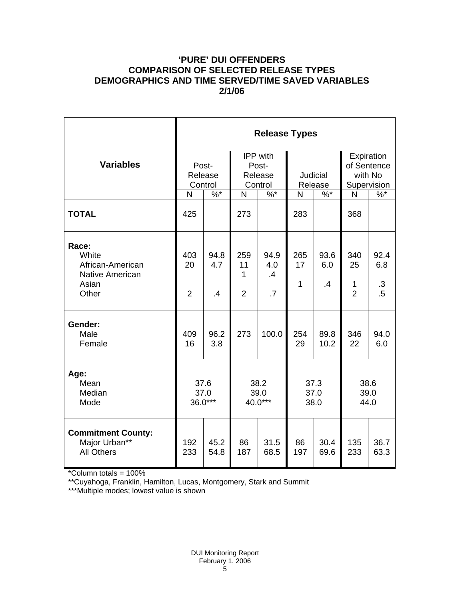## **'PURE' DUI OFFENDERS COMPARISON OF SELECTED RELEASE TYPES DEMOGRAPHICS AND TIME SERVED/TIME SAVED VARIABLES 2/1/06**

|                                                                         | <b>Release Types</b>        |                   |                                                |                                      |                      |                        |                                                     |                             |  |
|-------------------------------------------------------------------------|-----------------------------|-------------------|------------------------------------------------|--------------------------------------|----------------------|------------------------|-----------------------------------------------------|-----------------------------|--|
| <b>Variables</b>                                                        | Post-<br>Release<br>Control |                   | <b>IPP</b> with<br>Post-<br>Release<br>Control |                                      | Judicial<br>Release  |                        | Expiration<br>of Sentence<br>with No<br>Supervision |                             |  |
|                                                                         | N                           | $\%$ *            | N                                              | $\%$ *                               | N                    | $\%$ *                 | N                                                   | $\%$                        |  |
| <b>TOTAL</b>                                                            | 425                         |                   | 273                                            |                                      | 283                  |                        | 368                                                 |                             |  |
| Race:<br>White<br>African-American<br>Native American<br>Asian<br>Other | 403<br>20<br>$\overline{2}$ | 94.8<br>4.7<br>.4 | 259<br>11<br>1<br>$\overline{2}$               | 94.9<br>4.0<br>.4<br>$\overline{.7}$ | 265<br>17<br>1       | 93.6<br>6.0<br>$\cdot$ | 340<br>25<br>1<br>$\overline{2}$                    | 92.4<br>6.8<br>.3<br>$.5\,$ |  |
| Gender:<br>Male<br>Female                                               | 409<br>16                   | 96.2<br>3.8       | 273                                            | 100.0                                | 254<br>29            | 89.8<br>10.2           | 346<br>22                                           | 94.0<br>6.0                 |  |
| Age:<br>Mean<br>Median<br>Mode                                          | 37.6<br>37.0<br>36.0***     |                   | 38.2<br>39.0<br>40.0***                        |                                      | 37.3<br>37.0<br>38.0 |                        | 38.6<br>39.0<br>44.0                                |                             |  |
| <b>Commitment County:</b><br>Major Urban**<br><b>All Others</b>         | 192<br>233                  | 45.2<br>54.8      | 86<br>187                                      | 31.5<br>68.5                         | 86<br>197            | 30.4<br>69.6           | 135<br>233                                          | 36.7<br>63.3                |  |

\*Column totals = 100%

\*\*Cuyahoga, Franklin, Hamilton, Lucas, Montgomery, Stark and Summit

\*\*\*Multiple modes; lowest value is shown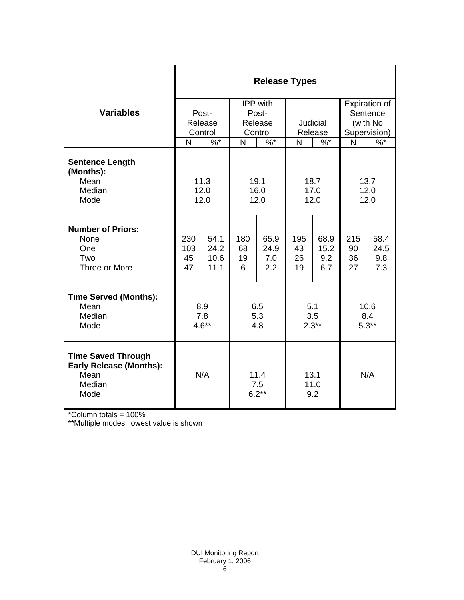|                                                                                       | <b>Release Types</b> |              |                        |          |                     |        |                |               |  |
|---------------------------------------------------------------------------------------|----------------------|--------------|------------------------|----------|---------------------|--------|----------------|---------------|--|
|                                                                                       |                      |              |                        | IPP with |                     |        |                | Expiration of |  |
| <b>Variables</b>                                                                      |                      | Post-        | Post-                  |          |                     |        | Sentence       |               |  |
|                                                                                       |                      | Release      | Release                |          | Judicial            |        | (with No       |               |  |
|                                                                                       | Control              |              | Control                |          | Release             |        | Supervision)   |               |  |
|                                                                                       | N                    | $\%$ *       | N                      | $\%$ *   | N                   | $\%$ * | N              | $\%$          |  |
| <b>Sentence Length</b><br>(Months):                                                   |                      |              |                        |          |                     |        |                |               |  |
| Mean                                                                                  | 11.3                 |              | 19.1                   |          | 18.7                |        | 13.7           |               |  |
| Median<br>Mode                                                                        | 12.0                 |              | 16.0                   |          | 17.0                |        | 12.0<br>12.0   |               |  |
|                                                                                       |                      | 12.0<br>12.0 |                        | 12.0     |                     |        |                |               |  |
| <b>Number of Priors:</b><br>None                                                      | 230                  | 54.1         | 180                    | 65.9     | 195                 | 68.9   | 215            | 58.4          |  |
| One                                                                                   | 103                  | 24.2         | 68                     | 24.9     | 43                  | 15.2   | 90             | 24.5          |  |
| Two                                                                                   | 45                   | 10.6         | 19                     | 7.0      | 26                  | 9.2    | 36             | 9.8           |  |
| Three or More                                                                         | 47                   | 11.1         | 6                      | 2.2      | 19                  | 6.7    | 27             | 7.3           |  |
| <b>Time Served (Months):</b>                                                          |                      |              |                        |          |                     |        |                |               |  |
| Mean                                                                                  | 8.9                  |              | 6.5                    |          | 5.1                 |        | 10.6           |               |  |
| Median<br>Mode                                                                        | 7.8<br>$4.6**$       |              | 5.3<br>4.8             |          | 3.5<br>$2.3**$      |        | 8.4<br>$5.3**$ |               |  |
|                                                                                       |                      |              |                        |          |                     |        |                |               |  |
| <b>Time Saved Through</b><br><b>Early Release (Months):</b><br>Mean<br>Median<br>Mode | N/A                  |              | 11.4<br>7.5<br>$6.2**$ |          | 13.1<br>11.0<br>9.2 |        | N/A            |               |  |

\*Column totals = 100%

\*\*Multiple modes; lowest value is shown